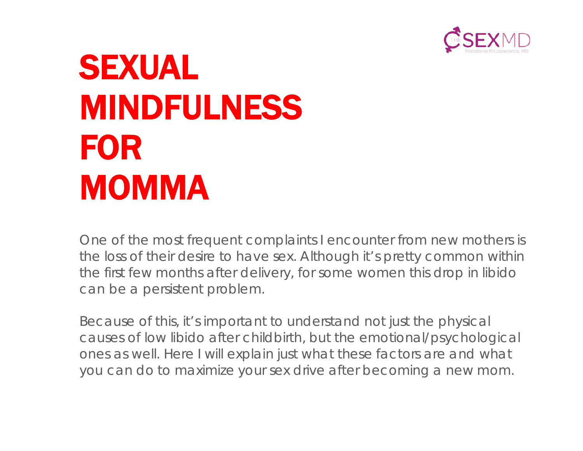

# SEXUAL MINDFULNESS FOR MOMMA

One of the most frequent complaints I encounter from new mothers is the loss of their desire to have sex. Although it's pretty common within the first few months after delivery, for some women this drop in libido can be a persistent problem.

Because of this, it's important to understand not just the physical causes of low libido after childbirth, but the emotional/psychological ones as well. Here I will explain just what these factors are and what you can do to maximize your sex drive after becoming a new mom.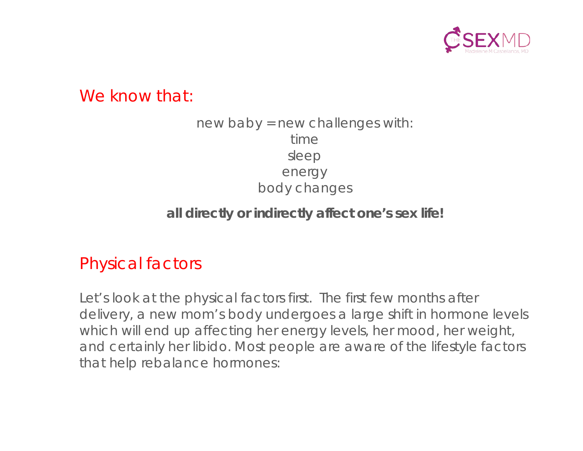

We know that:

#### new baby = new challenges with: time sleep energy body changes

#### **all directly or indirectly affect one's sex life!**

# Physical factors

Let's look at the physical factors first. The first few months after delivery, a new mom's body undergoes a large shift in hormone levels which will end up affecting her energy levels, her mood, her weight, and certainly her libido. Most people are aware of the lifestyle factors that help rebalance hormones: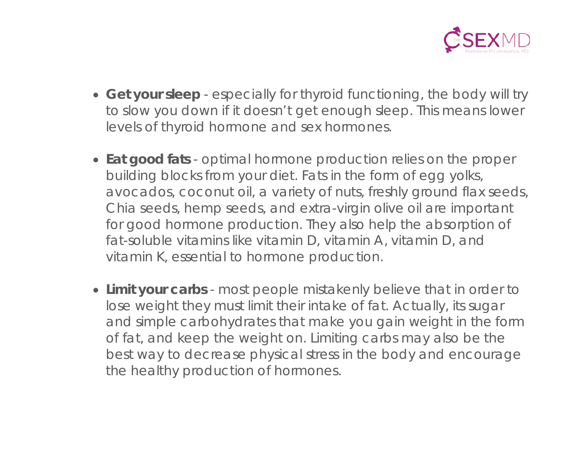

- **Get your sleep** especially for thyroid functioning, the body will try to slow you down if it doesn't get enough sleep. This means lower levels of thyroid hormone and sex hormones.
- **Eat good fats** optimal hormone production relies on the proper building blocks from your diet. Fats in the form of egg yolks, avocados, coconut oil, a variety of nuts, freshly ground flax seeds, Chia seeds, hemp seeds, and extra-virgin olive oil are important for good hormone production. They also help the absorption of fat-soluble vitamins like vitamin D, vitamin A, vitamin D, and vitamin K, essential to hormone production.
- **Limit your carbs** most people mistakenly believe that in order to lose weight they must limit their intake of fat. Actually, its sugar and simple carbohydrates that make you gain weight in the form of fat, and keep the weight on. Limiting carbs may also be the best way to decrease physical stress in the body and encourage the healthy production of hormones.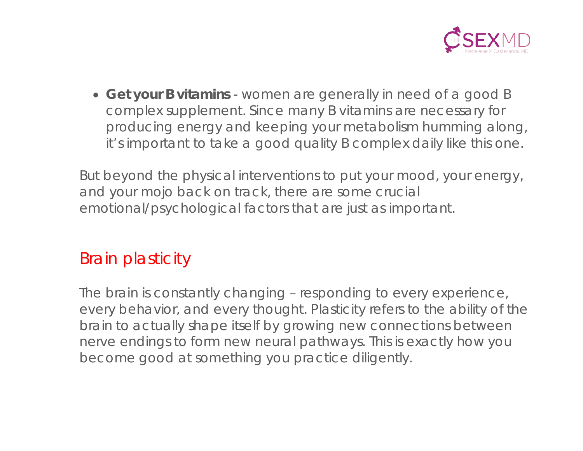

• **Get your B vitamins** - women are generally in need of a good B complex supplement. Since many B vitamins are necessary for producing energy and keeping your metabolism humming along, it's important to take a good quality B complex daily like this one.

But beyond the physical interventions to put your mood, your energy, and your mojo back on track, there are some crucial emotional/psychological factors that are just as important.

# Brain plasticity

The brain is constantly changing – responding to every experience, every behavior, and every thought. Plasticity refers to the ability of the brain to actually shape itself by growing new connections between nerve endings to form new neural pathways. This is exactly how you become good at something you practice diligently.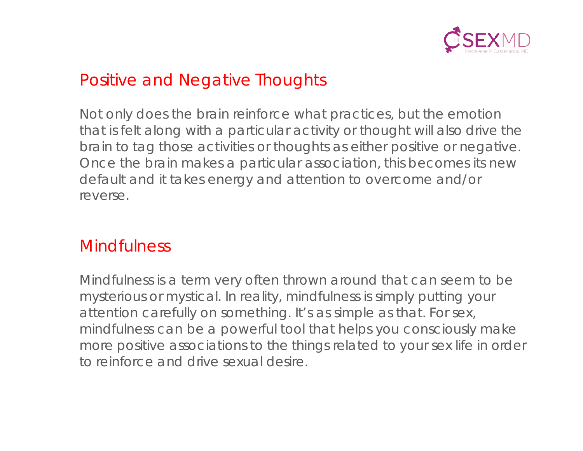

# Positive and Negative Thoughts

Not only does the brain reinforce what practices, but the emotion that is felt along with a particular activity or thought will also drive the brain to tag those activities or thoughts as either positive or negative. Once the brain makes a particular association, this becomes its new default and it takes energy and attention to overcome and/or reverse.

#### **Mindfulness**

Mindfulness is a term very often thrown around that can seem to be mysterious or mystical. In reality, mindfulness is simply putting your attention carefully on something. It's as simple as that. For sex, mindfulness can be a powerful tool that helps you consciously make more positive associations to the things related to your sex life in order to reinforce and drive sexual desire.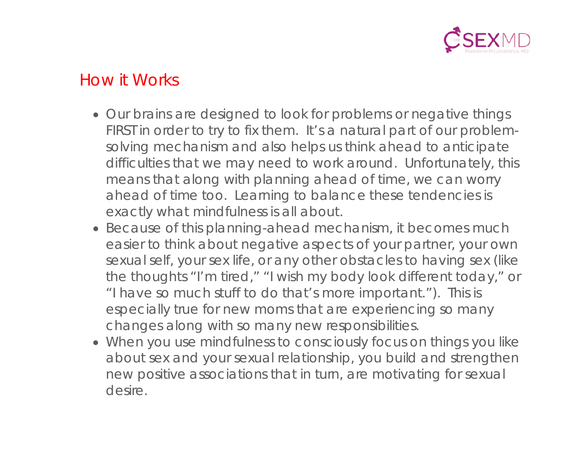

### How it Works

- Our brains are designed to look for problems or negative things FIRST in order to try to fix them. It's a natural part of our problemsolving mechanism and also helps us think ahead to anticipate difficulties that we may need to work around. Unfortunately, this means that along with planning ahead of time, we can worry ahead of time too. Learning to balance these tendencies is exactly what mindfulness is all about.
- Because of this planning-ahead mechanism, it becomes much easier to think about negative aspects of your partner, your own sexual self, your sex life, or any other obstacles to having sex (like the thoughts "I'm tired," "I wish my body look different today," or "I have so much stuff to do that's more important."). This is especially true for new moms that are experiencing so many changes along with so many new responsibilities.
- When you use mindfulness to consciously focus on things you like about sex and your sexual relationship, you build and strengthen new positive associations that in turn, are motivating for sexual desire.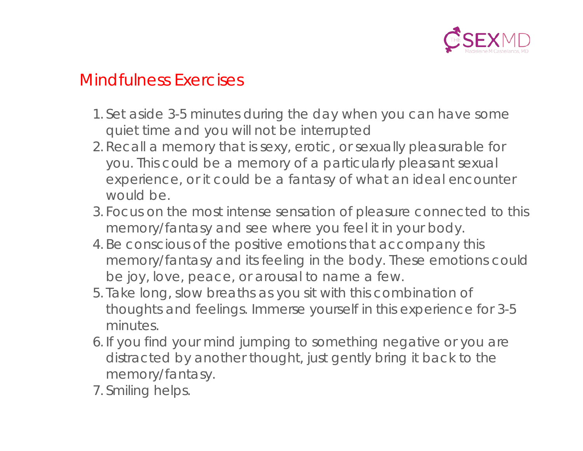

#### Mindfulness Exercises

- 1. Set aside 3-5 minutes during the day when you can have some quiet time and you will not be interrupted
- 2. Recall a memory that is sexy, erotic, or sexually pleasurable for you. This could be a memory of a particularly pleasant sexual experience, or it could be a fantasy of what an ideal encounter would be.
- 3. Focus on the most intense sensation of pleasure connected to this memory/fantasy and see where you feel it in your body.
- 4. Be conscious of the positive emotions that accompany this memory/fantasy and its feeling in the body. These emotions could be joy, love, peace, or arousal to name a few.
- 5. Take long, slow breaths as you sit with this combination of thoughts and feelings. Immerse yourself in this experience for 3-5 minutes.
- 6. If you find your mind jumping to something negative or you are distracted by another thought, just gently bring it back to the memory/fantasy.
- 7. Smiling helps.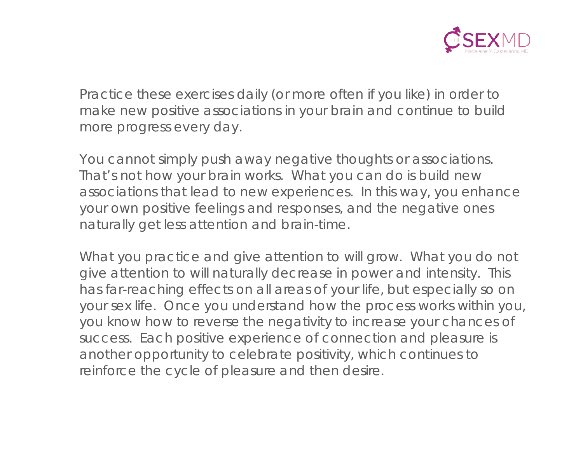

Practice these exercises daily (or more often if you like) in order to make new positive associations in your brain and continue to build more progress every day.

You cannot simply push away negative thoughts or associations. That's not how your brain works. What you can do is build new associations that lead to new experiences. In this way, you enhance your own positive feelings and responses, and the negative ones naturally get less attention and brain-time.

What you practice and give attention to will grow. What you do not give attention to will naturally decrease in power and intensity. This has far-reaching effects on all areas of your life, but especially so on your sex life. Once you understand how the process works within you, you know how to reverse the negativity to increase your chances of success. Each positive experience of connection and pleasure is another opportunity to celebrate positivity, which continues to reinforce the cycle of pleasure and then desire.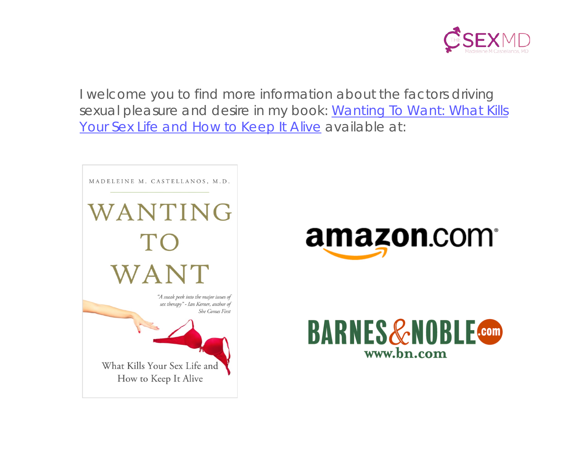

I welcome you to find more information about the factors driving sexual pleasure and desire in my book: Wanting To Want: What Kills [Your Sex Life and How to Keep It Alive](http://amzn.com/0986256544/?tag=t486csing-20) available at: